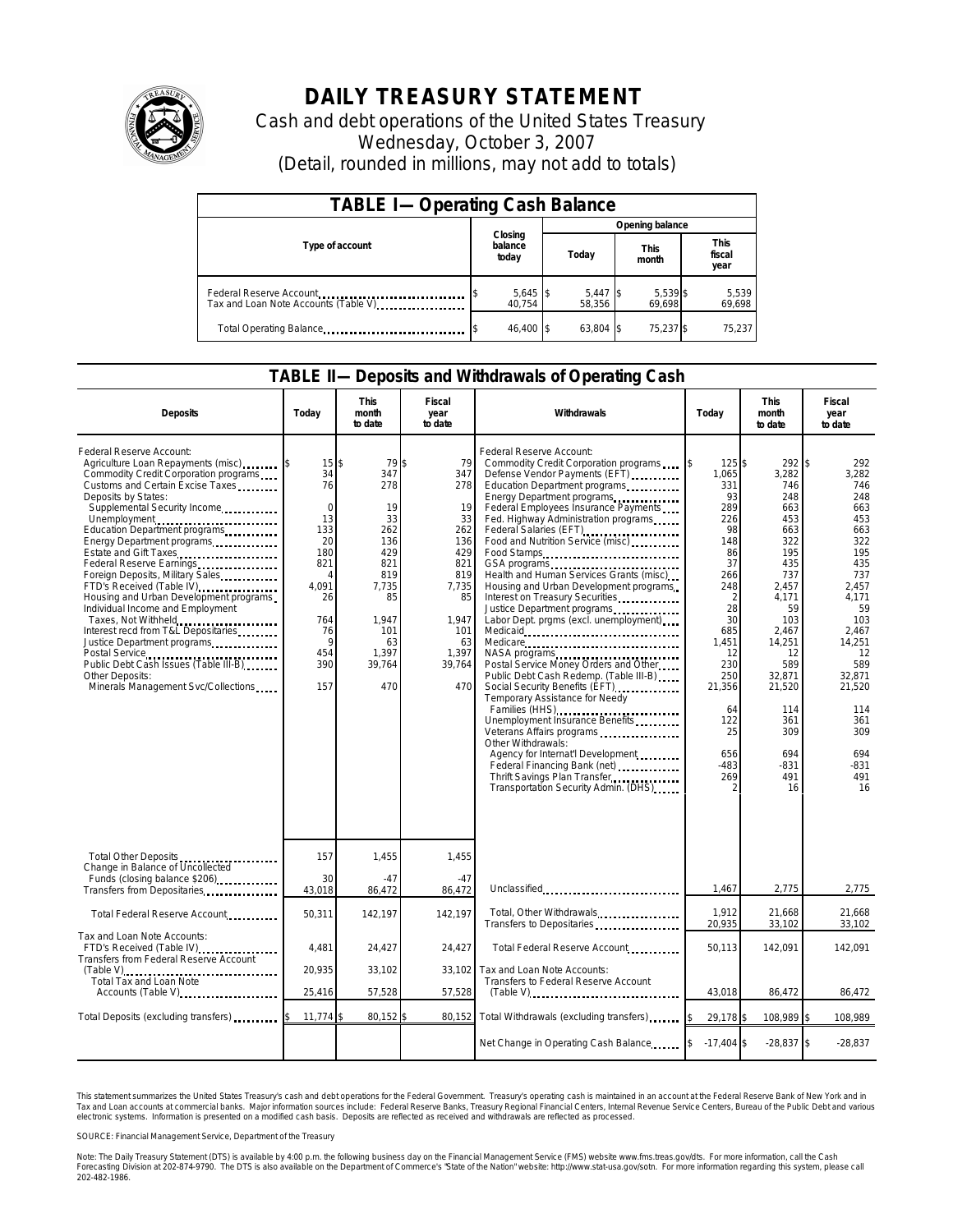

## **DAILY TREASURY STATEMENT**

Cash and debt operations of the United States Treasury Wednesday, October 3, 2007 (Detail, rounded in millions, may not add to totals)

| <b>TABLE I-Operating Cash Balance</b>                           |                             |                      |                      |                               |  |  |  |
|-----------------------------------------------------------------|-----------------------------|----------------------|----------------------|-------------------------------|--|--|--|
|                                                                 |                             | Opening balance      |                      |                               |  |  |  |
| Type of account                                                 | Closing<br>balance<br>today | Today                | <b>This</b><br>month | <b>This</b><br>fiscal<br>year |  |  |  |
| Federal Reserve Account<br>Tax and Loan Note Accounts (Table V) | $5,645$ \$<br>40.754        | $5,447$ \$<br>58.356 | 5,539 \$<br>69,698   | 5,539<br>69,698               |  |  |  |
| Total Operating Balance                                         | 46.400 \$                   | 63.804 \$            | 75,237 \$            | 75.237                        |  |  |  |

## **TABLE II—Deposits and Withdrawals of Operating Cash**

| <b>Deposits</b>                                                                                                                                                                                                                                                                                                                                                                                                                                                                                                                                                                                                                                                                                                                                     | Todav                                                                                                                                 | <b>This</b><br>month<br>to date                                                                                                | Fiscal<br>year<br>to date                                                                                                      | Withdrawals                                                                                                                                                                                                                                                                                                                                                                                                                                                                                                                                                                                                                                                                                                                                                                                                                                                                                                                   | Today                                                                                                                                                                                                                   | <b>This</b><br>month<br>to date                                                                                                                                                                                    | Fiscal<br>year<br>to date                                                                                                                                                                                       |
|-----------------------------------------------------------------------------------------------------------------------------------------------------------------------------------------------------------------------------------------------------------------------------------------------------------------------------------------------------------------------------------------------------------------------------------------------------------------------------------------------------------------------------------------------------------------------------------------------------------------------------------------------------------------------------------------------------------------------------------------------------|---------------------------------------------------------------------------------------------------------------------------------------|--------------------------------------------------------------------------------------------------------------------------------|--------------------------------------------------------------------------------------------------------------------------------|-------------------------------------------------------------------------------------------------------------------------------------------------------------------------------------------------------------------------------------------------------------------------------------------------------------------------------------------------------------------------------------------------------------------------------------------------------------------------------------------------------------------------------------------------------------------------------------------------------------------------------------------------------------------------------------------------------------------------------------------------------------------------------------------------------------------------------------------------------------------------------------------------------------------------------|-------------------------------------------------------------------------------------------------------------------------------------------------------------------------------------------------------------------------|--------------------------------------------------------------------------------------------------------------------------------------------------------------------------------------------------------------------|-----------------------------------------------------------------------------------------------------------------------------------------------------------------------------------------------------------------|
| Federal Reserve Account:<br>Agriculture Loan Repayments (misc)<br>Commodity Credit Corporation programs<br>Customs and Certain Excise Taxes<br>Deposits by States:<br>Supplemental Security Income<br>Unemployment<br>Education Department programs<br>Energy Department programs<br>Estate and Gift Taxes<br>Federal Reserve Earnings<br>Foreign Deposits, Military Sales<br>FTD's Received (Table IV)<br>Housing and Urban Development programs<br>Individual Income and Employment<br>Taxes, Not Withheld<br>Interest recd from T&L Depositaries<br>Justice Department programs<br>Postal Service<br>Public Debt Cash Issues (Table III-B)<br>The Manuscript Cash Issues (Table III-B)<br>Other Deposits:<br>Minerals Management Svc/Collections | $15$ $\bar{s}$<br>34<br>76<br>$\mathbf 0$<br>13<br>133<br>20<br>180<br>821<br>4<br>4.091<br>26<br>764<br>76<br>9<br>454<br>390<br>157 | 79<br>347<br>278<br>19<br>33<br>262<br>136<br>429<br>821<br>819<br>7,735<br>85<br>1,947<br>101<br>63<br>1,397<br>39,764<br>470 | 79<br>347<br>278<br>19<br>33<br>262<br>136<br>429<br>821<br>819<br>7,735<br>85<br>1,947<br>101<br>63<br>1,397<br>39,764<br>470 | Federal Reserve Account:<br>Commodity Credit Corporation programs<br>Defense Vendor Payments (EFT)<br>Education Department programs<br>Energy Department programs<br>Federal Employees Insurance Payments<br>Fed. Highway Administration programs<br>Federal Salaries (EFT)<br>Food and Nutrition Service (misc)<br>Food Stamps<br>Health and Human Services Grants (misc)<br>Housing and Urban Development programs<br>Interest on Treasury Securities<br>Labor Dept. prgms (excl. unemployment)<br>Medicare<br>Postal Service Money Orders and Other<br>Public Debt Cash Redemp. (Table III-B)<br>Social Security Benefits (EFT)<br>Temporary Assistance for Needy<br>Families (HHS)<br>Unemployment Insurance Benefits<br>Veterans Affairs programs<br>Other Withdrawals:<br>Agency for Internat'l Development<br>Federal Financing Bank (net)<br><br>Thrift Savings Plan Transfer<br>Transportation Security Admin. (DHS) | 125\$<br>1,065<br>331<br>93<br>289<br>226<br>98<br>148<br>86<br>37<br>266<br>248<br>$\mathcal{P}$<br>28<br>30<br>685<br>1,451<br>12<br>230<br>250<br>21,356<br>64<br>122<br>25<br>656<br>$-483$<br>269<br>$\mathcal{P}$ | 292S<br>3,282<br>746<br>248<br>663<br>453<br>663<br>322<br>195<br>435<br>737<br>2,457<br>4.171<br>59<br>103<br>2.467<br>14,251<br>12<br>589<br>32.871<br>21,520<br>114<br>361<br>309<br>694<br>$-831$<br>491<br>16 | 292<br>3,282<br>746<br>248<br>663<br>453<br>663<br>322<br>195<br>435<br>737<br>2,457<br>4.171<br>59<br>103<br>2.467<br>14,251<br>12<br>589<br>32,871<br>21,520<br>114<br>361<br>309<br>694<br>-831<br>491<br>16 |
| Total Other Deposits<br>Change in Balance of Uncollected                                                                                                                                                                                                                                                                                                                                                                                                                                                                                                                                                                                                                                                                                            | 157                                                                                                                                   | 1,455                                                                                                                          | 1,455                                                                                                                          |                                                                                                                                                                                                                                                                                                                                                                                                                                                                                                                                                                                                                                                                                                                                                                                                                                                                                                                               |                                                                                                                                                                                                                         |                                                                                                                                                                                                                    |                                                                                                                                                                                                                 |
| Funds (closing balance \$206)<br>Transfers from Depositaries                                                                                                                                                                                                                                                                                                                                                                                                                                                                                                                                                                                                                                                                                        | 30<br>43,018                                                                                                                          | $-47$<br>86,472                                                                                                                | $-47$<br>86,472                                                                                                                | Unclassified                                                                                                                                                                                                                                                                                                                                                                                                                                                                                                                                                                                                                                                                                                                                                                                                                                                                                                                  | 1,467                                                                                                                                                                                                                   | 2,775                                                                                                                                                                                                              | 2,775                                                                                                                                                                                                           |
| Total Federal Reserve Account                                                                                                                                                                                                                                                                                                                                                                                                                                                                                                                                                                                                                                                                                                                       | 50,311                                                                                                                                | 142,197                                                                                                                        | 142,197                                                                                                                        | Total, Other Withdrawals<br>Transfers to Depositaries                                                                                                                                                                                                                                                                                                                                                                                                                                                                                                                                                                                                                                                                                                                                                                                                                                                                         | 1.912<br>20,935                                                                                                                                                                                                         | 21,668<br>33,102                                                                                                                                                                                                   | 21.668<br>33,102                                                                                                                                                                                                |
| Tax and Loan Note Accounts:<br>FTD's Received (Table IV)<br>Transfers from Federal Reserve Account                                                                                                                                                                                                                                                                                                                                                                                                                                                                                                                                                                                                                                                  | 4,481                                                                                                                                 | 24,427                                                                                                                         | 24,427                                                                                                                         | Total Federal Reserve Account                                                                                                                                                                                                                                                                                                                                                                                                                                                                                                                                                                                                                                                                                                                                                                                                                                                                                                 | 50,113                                                                                                                                                                                                                  | 142,091                                                                                                                                                                                                            | 142,091                                                                                                                                                                                                         |
| Total Tax and Loan Note<br>Accounts (Table V)                                                                                                                                                                                                                                                                                                                                                                                                                                                                                                                                                                                                                                                                                                       | 20,935<br>25,416                                                                                                                      | 33,102<br>57,528                                                                                                               | 33,102<br>57,528                                                                                                               | Tax and Loan Note Accounts:<br>Transfers to Federal Reserve Account                                                                                                                                                                                                                                                                                                                                                                                                                                                                                                                                                                                                                                                                                                                                                                                                                                                           | 43,018                                                                                                                                                                                                                  | 86,472                                                                                                                                                                                                             | 86,472                                                                                                                                                                                                          |
|                                                                                                                                                                                                                                                                                                                                                                                                                                                                                                                                                                                                                                                                                                                                                     |                                                                                                                                       |                                                                                                                                |                                                                                                                                |                                                                                                                                                                                                                                                                                                                                                                                                                                                                                                                                                                                                                                                                                                                                                                                                                                                                                                                               |                                                                                                                                                                                                                         |                                                                                                                                                                                                                    |                                                                                                                                                                                                                 |
| Total Deposits (excluding transfers)                                                                                                                                                                                                                                                                                                                                                                                                                                                                                                                                                                                                                                                                                                                | 11,774                                                                                                                                | 80,152                                                                                                                         | 80.152                                                                                                                         | Total Withdrawals (excluding transfers)                                                                                                                                                                                                                                                                                                                                                                                                                                                                                                                                                                                                                                                                                                                                                                                                                                                                                       | 29,178 \$                                                                                                                                                                                                               | 108,989 \$                                                                                                                                                                                                         | 108,989                                                                                                                                                                                                         |
|                                                                                                                                                                                                                                                                                                                                                                                                                                                                                                                                                                                                                                                                                                                                                     |                                                                                                                                       |                                                                                                                                |                                                                                                                                | Net Change in Operating Cash Balance                                                                                                                                                                                                                                                                                                                                                                                                                                                                                                                                                                                                                                                                                                                                                                                                                                                                                          | $-17.404$ \$<br><b>IS</b>                                                                                                                                                                                               | $-28,837$ \$                                                                                                                                                                                                       | $-28,837$                                                                                                                                                                                                       |

This statement summarizes the United States Treasury's cash and debt operations for the Federal Government. Treasury's operating cash is maintained in an account at the Federal Reserve Bank of New York and in<br>Tax and Loan

SOURCE: Financial Management Service, Department of the Treasury

Note: The Daily Treasury Statement (DTS) is available by 4:00 p.m. the following business day on the Financial Management Service (FMS) website www.fms.treas.gov/dts. For more information, call the Cash<br>Forecasting Divisio 202-482-1986.